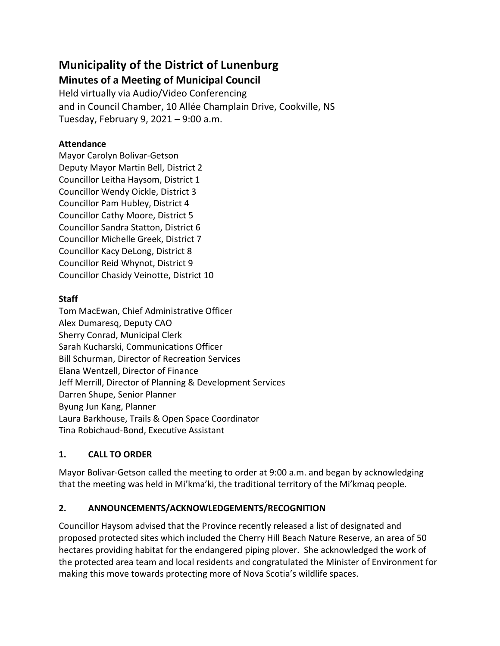# Municipality of the District of Lunenburg

## Minutes of a Meeting of Municipal Council

Held virtually via Audio/Video Conferencing and in Council Chamber, 10 Allée Champlain Drive, Cookville, NS Tuesday, February 9, 2021 – 9:00 a.m.

## **Attendance**

Mayor Carolyn Bolivar-Getson Deputy Mayor Martin Bell, District 2 Councillor Leitha Haysom, District 1 Councillor Wendy Oickle, District 3 Councillor Pam Hubley, District 4 Councillor Cathy Moore, District 5 Councillor Sandra Statton, District 6 Councillor Michelle Greek, District 7 Councillor Kacy DeLong, District 8 Councillor Reid Whynot, District 9 Councillor Chasidy Veinotte, District 10

## **Staff**

Tom MacEwan, Chief Administrative Officer Alex Dumaresq, Deputy CAO Sherry Conrad, Municipal Clerk Sarah Kucharski, Communications Officer Bill Schurman, Director of Recreation Services Elana Wentzell, Director of Finance Jeff Merrill, Director of Planning & Development Services Darren Shupe, Senior Planner Byung Jun Kang, Planner Laura Barkhouse, Trails & Open Space Coordinator Tina Robichaud-Bond, Executive Assistant

## 1. CALL TO ORDER

Mayor Bolivar-Getson called the meeting to order at 9:00 a.m. and began by acknowledging that the meeting was held in Mi'kma'ki, the traditional territory of the Mi'kmaq people.

## 2. ANNOUNCEMENTS/ACKNOWLEDGEMENTS/RECOGNITION

Councillor Haysom advised that the Province recently released a list of designated and proposed protected sites which included the Cherry Hill Beach Nature Reserve, an area of 50 hectares providing habitat for the endangered piping plover. She acknowledged the work of the protected area team and local residents and congratulated the Minister of Environment for making this move towards protecting more of Nova Scotia's wildlife spaces.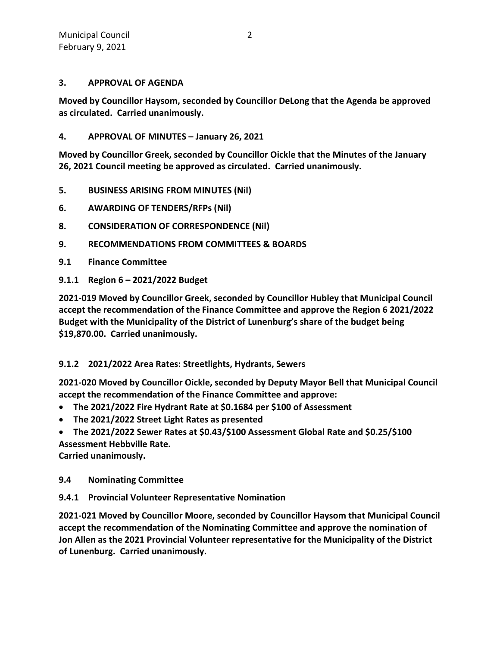#### 3. APPROVAL OF AGENDA

Moved by Councillor Haysom, seconded by Councillor DeLong that the Agenda be approved as circulated. Carried unanimously.

### 4. APPROVAL OF MINUTES – January 26, 2021

Moved by Councillor Greek, seconded by Councillor Oickle that the Minutes of the January 26, 2021 Council meeting be approved as circulated. Carried unanimously.

- 5. BUSINESS ARISING FROM MINUTES (Nil)
- 6. AWARDING OF TENDERS/RFPs (Nil)
- 8. CONSIDERATION OF CORRESPONDENCE (Nil)
- 9. RECOMMENDATIONS FROM COMMITTEES & BOARDS
- 9.1 Finance Committee
- 9.1.1 Region 6 2021/2022 Budget

2021-019 Moved by Councillor Greek, seconded by Councillor Hubley that Municipal Council accept the recommendation of the Finance Committee and approve the Region 6 2021/2022 Budget with the Municipality of the District of Lunenburg's share of the budget being \$19,870.00. Carried unanimously.

## 9.1.2 2021/2022 Area Rates: Streetlights, Hydrants, Sewers

2021-020 Moved by Councillor Oickle, seconded by Deputy Mayor Bell that Municipal Council accept the recommendation of the Finance Committee and approve:

- The 2021/2022 Fire Hydrant Rate at \$0.1684 per \$100 of Assessment
- The 2021/2022 Street Light Rates as presented
- The 2021/2022 Sewer Rates at \$0.43/\$100 Assessment Global Rate and \$0.25/\$100 Assessment Hebbville Rate.

Carried unanimously.

#### 9.4 Nominating Committee

## 9.4.1 Provincial Volunteer Representative Nomination

2021-021 Moved by Councillor Moore, seconded by Councillor Haysom that Municipal Council accept the recommendation of the Nominating Committee and approve the nomination of Jon Allen as the 2021 Provincial Volunteer representative for the Municipality of the District of Lunenburg. Carried unanimously.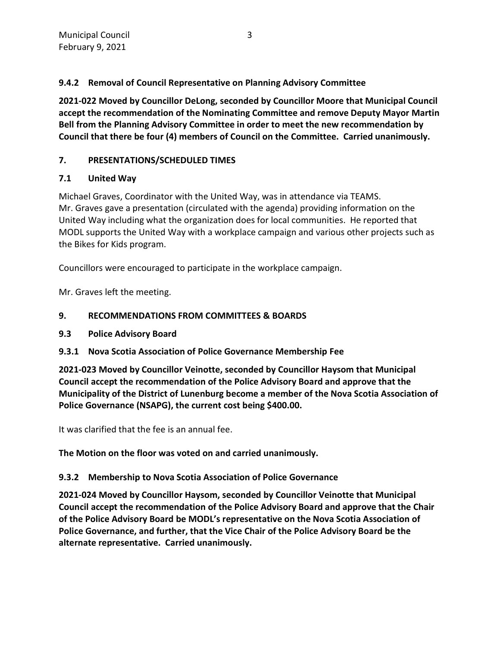## 9.4.2 Removal of Council Representative on Planning Advisory Committee

2021-022 Moved by Councillor DeLong, seconded by Councillor Moore that Municipal Council accept the recommendation of the Nominating Committee and remove Deputy Mayor Martin Bell from the Planning Advisory Committee in order to meet the new recommendation by Council that there be four (4) members of Council on the Committee. Carried unanimously.

## 7. PRESENTATIONS/SCHEDULED TIMES

## 7.1 United Way

Michael Graves, Coordinator with the United Way, was in attendance via TEAMS. Mr. Graves gave a presentation (circulated with the agenda) providing information on the United Way including what the organization does for local communities. He reported that MODL supports the United Way with a workplace campaign and various other projects such as the Bikes for Kids program.

Councillors were encouraged to participate in the workplace campaign.

Mr. Graves left the meeting.

## 9. RECOMMENDATIONS FROM COMMITTEES & BOARDS

#### 9.3 Police Advisory Board

9.3.1 Nova Scotia Association of Police Governance Membership Fee

2021-023 Moved by Councillor Veinotte, seconded by Councillor Haysom that Municipal Council accept the recommendation of the Police Advisory Board and approve that the Municipality of the District of Lunenburg become a member of the Nova Scotia Association of Police Governance (NSAPG), the current cost being \$400.00.

It was clarified that the fee is an annual fee.

The Motion on the floor was voted on and carried unanimously.

## 9.3.2 Membership to Nova Scotia Association of Police Governance

2021-024 Moved by Councillor Haysom, seconded by Councillor Veinotte that Municipal Council accept the recommendation of the Police Advisory Board and approve that the Chair of the Police Advisory Board be MODL's representative on the Nova Scotia Association of Police Governance, and further, that the Vice Chair of the Police Advisory Board be the alternate representative. Carried unanimously.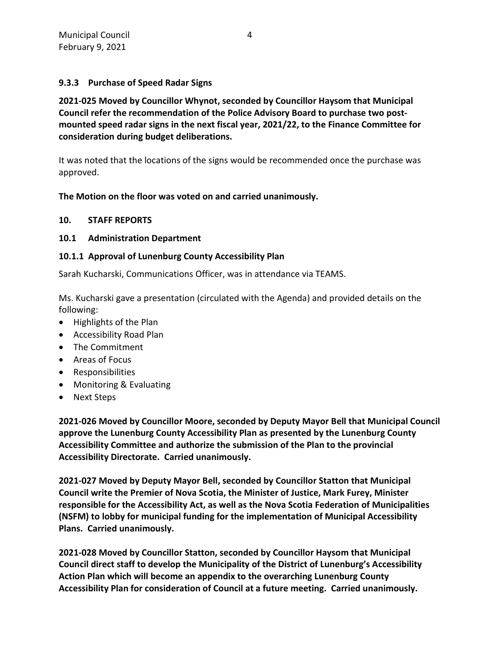#### 9.3.3 Purchase of Speed Radar Signs

2021-025 Moved by Councillor Whynot, seconded by Councillor Haysom that Municipal Council refer the recommendation of the Police Advisory Board to purchase two postmounted speed radar signs in the next fiscal year, 2021/22, to the Finance Committee for consideration during budget deliberations.

It was noted that the locations of the signs would be recommended once the purchase was approved.

The Motion on the floor was voted on and carried unanimously.

## 10. STAFF REPORTS

#### 10.1 Administration Department

## 10.1.1 Approval of Lunenburg County Accessibility Plan

Sarah Kucharski, Communications Officer, was in attendance via TEAMS.

Ms. Kucharski gave a presentation (circulated with the Agenda) and provided details on the following:

- Highlights of the Plan
- Accessibility Road Plan
- The Commitment
- Areas of Focus
- Responsibilities
- Monitoring & Evaluating
- Next Steps

2021-026 Moved by Councillor Moore, seconded by Deputy Mayor Bell that Municipal Council approve the Lunenburg County Accessibility Plan as presented by the Lunenburg County Accessibility Committee and authorize the submission of the Plan to the provincial Accessibility Directorate. Carried unanimously.

2021-027 Moved by Deputy Mayor Bell, seconded by Councillor Statton that Municipal Council write the Premier of Nova Scotia, the Minister of Justice, Mark Furey, Minister responsible for the Accessibility Act, as well as the Nova Scotia Federation of Municipalities (NSFM) to lobby for municipal funding for the implementation of Municipal Accessibility Plans. Carried unanimously.

2021-028 Moved by Councillor Statton, seconded by Councillor Haysom that Municipal Council direct staff to develop the Municipality of the District of Lunenburg's Accessibility Action Plan which will become an appendix to the overarching Lunenburg County Accessibility Plan for consideration of Council at a future meeting. Carried unanimously.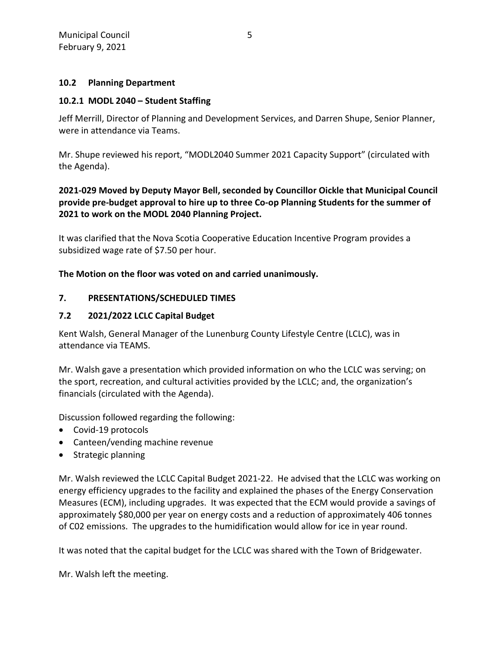#### 10.2 Planning Department

#### 10.2.1 MODL 2040 – Student Staffing

Jeff Merrill, Director of Planning and Development Services, and Darren Shupe, Senior Planner, were in attendance via Teams.

Mr. Shupe reviewed his report, "MODL2040 Summer 2021 Capacity Support" (circulated with the Agenda).

## 2021-029 Moved by Deputy Mayor Bell, seconded by Councillor Oickle that Municipal Council provide pre-budget approval to hire up to three Co-op Planning Students for the summer of 2021 to work on the MODL 2040 Planning Project.

It was clarified that the Nova Scotia Cooperative Education Incentive Program provides a subsidized wage rate of \$7.50 per hour.

#### The Motion on the floor was voted on and carried unanimously.

#### 7. PRESENTATIONS/SCHEDULED TIMES

#### 7.2 2021/2022 LCLC Capital Budget

Kent Walsh, General Manager of the Lunenburg County Lifestyle Centre (LCLC), was in attendance via TEAMS.

Mr. Walsh gave a presentation which provided information on who the LCLC was serving; on the sport, recreation, and cultural activities provided by the LCLC; and, the organization's financials (circulated with the Agenda).

Discussion followed regarding the following:

- Covid-19 protocols
- Canteen/vending machine revenue
- Strategic planning

Mr. Walsh reviewed the LCLC Capital Budget 2021-22. He advised that the LCLC was working on energy efficiency upgrades to the facility and explained the phases of the Energy Conservation Measures (ECM), including upgrades. It was expected that the ECM would provide a savings of approximately \$80,000 per year on energy costs and a reduction of approximately 406 tonnes of C02 emissions. The upgrades to the humidification would allow for ice in year round.

It was noted that the capital budget for the LCLC was shared with the Town of Bridgewater.

Mr. Walsh left the meeting.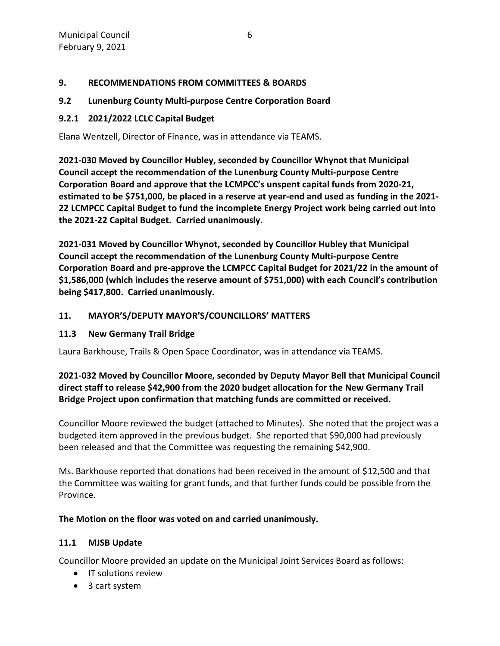#### 9. RECOMMENDATIONS FROM COMMITTEES & BOARDS

#### 9.2 Lunenburg County Multi-purpose Centre Corporation Board

#### 9.2.1 2021/2022 LCLC Capital Budget

Elana Wentzell, Director of Finance, was in attendance via TEAMS.

2021-030 Moved by Councillor Hubley, seconded by Councillor Whynot that Municipal Council accept the recommendation of the Lunenburg County Multi-purpose Centre Corporation Board and approve that the LCMPCC's unspent capital funds from 2020-21, estimated to be \$751,000, be placed in a reserve at year-end and used as funding in the 2021- 22 LCMPCC Capital Budget to fund the incomplete Energy Project work being carried out into the 2021-22 Capital Budget. Carried unanimously.

2021-031 Moved by Councillor Whynot, seconded by Councillor Hubley that Municipal Council accept the recommendation of the Lunenburg County Multi-purpose Centre Corporation Board and pre-approve the LCMPCC Capital Budget for 2021/22 in the amount of \$1,586,000 (which includes the reserve amount of \$751,000) with each Council's contribution being \$417,800. Carried unanimously.

#### 11. MAYOR'S/DEPUTY MAYOR'S/COUNCILLORS' MATTERS

#### 11.3 New Germany Trail Bridge

Laura Barkhouse, Trails & Open Space Coordinator, was in attendance via TEAMS.

## 2021-032 Moved by Councillor Moore, seconded by Deputy Mayor Bell that Municipal Council direct staff to release \$42,900 from the 2020 budget allocation for the New Germany Trail Bridge Project upon confirmation that matching funds are committed or received.

Councillor Moore reviewed the budget (attached to Minutes). She noted that the project was a budgeted item approved in the previous budget. She reported that \$90,000 had previously been released and that the Committee was requesting the remaining \$42,900.

Ms. Barkhouse reported that donations had been received in the amount of \$12,500 and that the Committee was waiting for grant funds, and that further funds could be possible from the Province.

#### The Motion on the floor was voted on and carried unanimously.

#### 11.1 MJSB Update

Councillor Moore provided an update on the Municipal Joint Services Board as follows:

- IT solutions review
- 3 cart system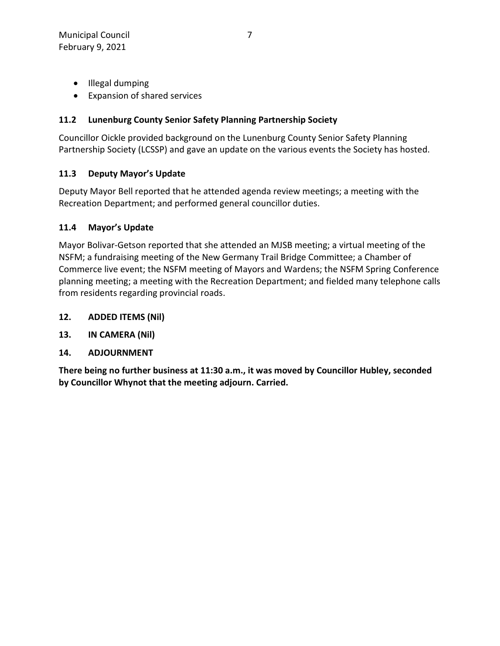- Illegal dumping
- Expansion of shared services

## 11.2 Lunenburg County Senior Safety Planning Partnership Society

Councillor Oickle provided background on the Lunenburg County Senior Safety Planning Partnership Society (LCSSP) and gave an update on the various events the Society has hosted.

## 11.3 Deputy Mayor's Update

Deputy Mayor Bell reported that he attended agenda review meetings; a meeting with the Recreation Department; and performed general councillor duties.

#### 11.4 Mayor's Update

Mayor Bolivar-Getson reported that she attended an MJSB meeting; a virtual meeting of the NSFM; a fundraising meeting of the New Germany Trail Bridge Committee; a Chamber of Commerce live event; the NSFM meeting of Mayors and Wardens; the NSFM Spring Conference planning meeting; a meeting with the Recreation Department; and fielded many telephone calls from residents regarding provincial roads.

- 12. ADDED ITEMS (Nil)
- 13. IN CAMERA (Nil)
- 14. ADJOURNMENT

There being no further business at 11:30 a.m., it was moved by Councillor Hubley, seconded by Councillor Whynot that the meeting adjourn. Carried.